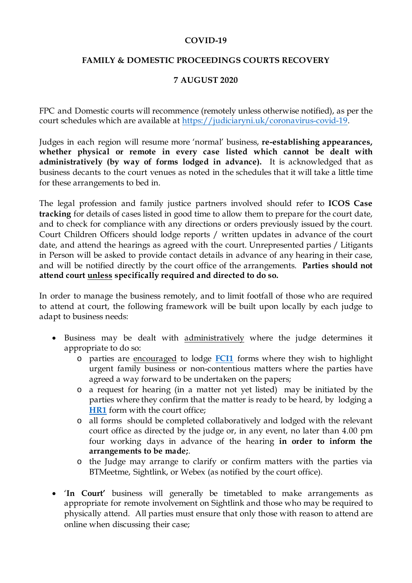## **COVID-19**

## **FAMILY & DOMESTIC PROCEEDINGS COURTS RECOVERY**

## **7 AUGUST 2020**

FPC and Domestic courts will recommence (remotely unless otherwise notified), as per the court schedules which are available a[t https://judiciaryni.uk/coronavirus-covid-19.](https://judiciaryni.uk/coronavirus-covid-19)

Judges in each region will resume more 'normal' business, **re-establishing appearances, whether physical or remote in every case listed which cannot be dealt with administratively (by way of forms lodged in advance).** It is acknowledged that as business decants to the court venues as noted in the schedules that it will take a little time for these arrangements to bed in.

The legal profession and family justice partners involved should refer to **ICOS Case tracking** for details of cases listed in good time to allow them to prepare for the court date, and to check for compliance with any directions or orders previously issued by the court. Court Children Officers should lodge reports / written updates in advance of the court date, and attend the hearings as agreed with the court. Unrepresented parties / Litigants in Person will be asked to provide contact details in advance of any hearing in their case, and will be notified directly by the court office of the arrangements. **Parties should not attend court unless specifically required and directed to do so.**

In order to manage the business remotely, and to limit footfall of those who are required to attend at court, the following framework will be built upon locally by each judge to adapt to business needs:

- Business may be dealt with administratively where the judge determines it appropriate to do so:
	- o parties are encouraged to lodge **[FCI1](https://judiciaryni.uk/sites/judiciary/files/media-files/FORM%20FCI1%20-%20Family%20Business%20Continuity%20Covid-19%20V5.0%20Issued%205.6.20.DOC)** forms where they wish to highlight urgent family business or non-contentious matters where the parties have agreed a way forward to be undertaken on the papers;
	- o a request for hearing (in a matter not yet listed) may be initiated by the parties where they confirm that the matter is ready to be heard, by lodging a **[HR1](https://judiciaryni.uk/sites/judiciary/files/media-files/Form%20HR1%20-%20Request%20for%20Hearing%20or%20Approval%20-%20030920%20-%20FINAL.doc)** form with the court office;
	- o all forms should be completed collaboratively and lodged with the relevant court office as directed by the judge or, in any event, no later than 4.00 pm four working days in advance of the hearing **in order to inform the arrangements to be made;**.
	- o the Judge may arrange to clarify or confirm matters with the parties via BTMeetme, Sightlink, or Webex (as notified by the court office).
- '**In Court'** business will generally be timetabled to make arrangements as appropriate for remote involvement on Sightlink and those who may be required to physically attend. All parties must ensure that only those with reason to attend are online when discussing their case;